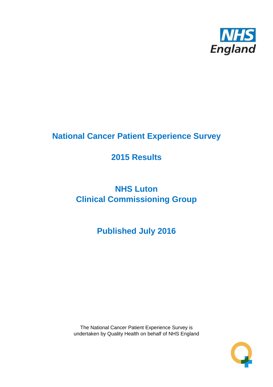

# **National Cancer Patient Experience Survey**

# **2015 Results**

# **NHS Luton Clinical Commissioning Group**

# **Published July 2016**

The National Cancer Patient Experience Survey is undertaken by Quality Health on behalf of NHS England

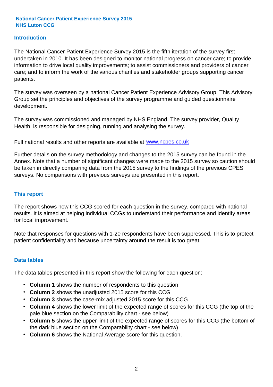### **Introduction**

The National Cancer Patient Experience Survey 2015 is the fifth iteration of the survey first undertaken in 2010. It has been designed to monitor national progress on cancer care; to provide information to drive local quality improvements; to assist commissioners and providers of cancer care; and to inform the work of the various charities and stakeholder groups supporting cancer patients.

The survey was overseen by a national Cancer Patient Experience Advisory Group. This Advisory Group set the principles and objectives of the survey programme and guided questionnaire development.

The survey was commissioned and managed by NHS England. The survey provider, Quality Health, is responsible for designing, running and analysing the survey.

Full national results and other reports are available at www.ncpes.co.uk

Further details on the survey methodology and changes to the 2015 survey can be found in the Annex. Note that a number of significant changes were made to the 2015 survey so caution should be taken in directly comparing data from the 2015 survey to the findings of the previous CPES surveys. No comparisons with previous surveys are presented in this report.

#### **This report**

The report shows how this CCG scored for each question in the survey, compared with national results. It is aimed at helping individual CCGs to understand their performance and identify areas for local improvement.

Note that responses for questions with 1-20 respondents have been suppressed. This is to protect patient confidentiality and because uncertainty around the result is too great.

#### **Data tables**

The data tables presented in this report show the following for each question:

- **Column 1** shows the number of respondents to this question
- **Column 2** shows the unadjusted 2015 score for this CCG
- **Column 3** shows the case-mix adjusted 2015 score for this CCG
- **Column 4** shows the lower limit of the expected range of scores for this CCG (the top of the pale blue section on the Comparability chart - see below)
- **Column 5** shows the upper limit of the expected range of scores for this CCG (the bottom of the dark blue section on the Comparability chart - see below)
- **Column 6** shows the National Average score for this question.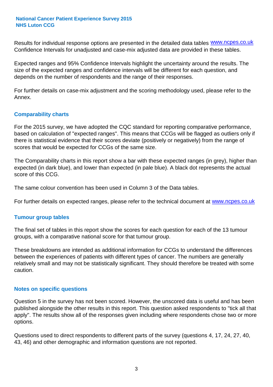Results for individual response options are presented in the detailed data tables **WWW.ncpes.co.uk** Confidence Intervals for unadjusted and case-mix adjusted data are provided in these tables.

Expected ranges and 95% Confidence Intervals highlight the uncertainty around the results. The size of the expected ranges and confidence intervals will be different for each question, and depends on the number of respondents and the range of their responses.

For further details on case-mix adjustment and the scoring methodology used, please refer to the Annex.

### **Comparability charts**

For the 2015 survey, we have adopted the CQC standard for reporting comparative performance, based on calculation of "expected ranges". This means that CCGs will be flagged as outliers only if there is statistical evidence that their scores deviate (positively or negatively) from the range of scores that would be expected for CCGs of the same size.

The Comparability charts in this report show a bar with these expected ranges (in grey), higher than expected (in dark blue), and lower than expected (in pale blue). A black dot represents the actual score of this CCG.

The same colour convention has been used in Column 3 of the Data tables.

For further details on expected ranges, please refer to the technical document at **www.ncpes.co.uk** 

#### **Tumour group tables**

The final set of tables in this report show the scores for each question for each of the 13 tumour groups, with a comparative national score for that tumour group.

These breakdowns are intended as additional information for CCGs to understand the differences between the experiences of patients with different types of cancer. The numbers are generally relatively small and may not be statistically significant. They should therefore be treated with some caution.

#### **Notes on specific questions**

Question 5 in the survey has not been scored. However, the unscored data is useful and has been published alongside the other results in this report. This question asked respondents to "tick all that apply". The results show all of the responses given including where respondents chose two or more options.

Questions used to direct respondents to different parts of the survey (questions 4, 17, 24, 27, 40, 43, 46) and other demographic and information questions are not reported.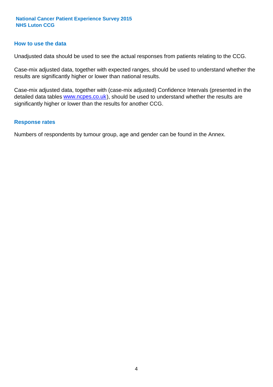#### **How to use the data**

Unadjusted data should be used to see the actual responses from patients relating to the CCG.

Case-mix adjusted data, together with expected ranges, should be used to understand whether the results are significantly higher or lower than national results.

Case-mix adjusted data, together with (case-mix adjusted) Confidence Intervals (presented in the detailed data tables **www.ncpes.co.uk**), should be used to understand whether the results are significantly higher or lower than the results for another CCG.

#### **Response rates**

Numbers of respondents by tumour group, age and gender can be found in the Annex.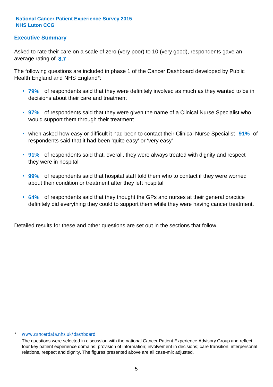# **Executive Summary**

average rating of 8.7. Asked to rate their care on a scale of zero (very poor) to 10 (very good), respondents gave an

The following questions are included in phase 1 of the Cancer Dashboard developed by Public Health England and NHS England\*:

- **79%** of respondents said that they were definitely involved as much as they wanted to be in decisions about their care and treatment
- **97%** of respondents said that they were given the name of a Clinical Nurse Specialist who would support them through their treatment
- when asked how easy or difficult it had been to contact their Clinical Nurse Specialist 91% of respondents said that it had been 'quite easy' or 'very easy'
- **91%** of respondents said that, overall, they were always treated with dignity and respect they were in hospital
- **99%** of respondents said that hospital staff told them who to contact if they were worried about their condition or treatment after they left hospital
- **64%** of respondents said that they thought the GPs and nurses at their general practice definitely did everything they could to support them while they were having cancer treatment.

Detailed results for these and other questions are set out in the sections that follow.

#### \* www.cancerdata.nhs.uk/dashboard

The questions were selected in discussion with the national Cancer Patient Experience Advisory Group and reflect four key patient experience domains: provision of information; involvement in decisions; care transition; interpersonal relations, respect and dignity. The figures presented above are all case-mix adjusted.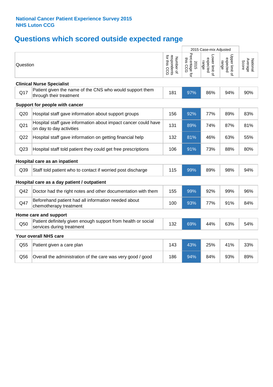# **Questions which scored outside expected range**

|                 |                                                                                            |                                                      |                                    | 2015 Case-mix Adjusted              |                                     |                             |
|-----------------|--------------------------------------------------------------------------------------------|------------------------------------------------------|------------------------------------|-------------------------------------|-------------------------------------|-----------------------------|
| Question        |                                                                                            | for this<br>respondents<br>for this CCG<br>Number of | Percentage for<br>this CCG<br>2015 | Lower limit of<br>expected<br>range | Upper limit of<br>expected<br>range | Average<br>Nationa<br>Score |
|                 | <b>Clinical Nurse Specialist</b>                                                           |                                                      |                                    |                                     |                                     |                             |
| Q17             | Patient given the name of the CNS who would support them<br>through their treatment        | 181                                                  | 97%                                | 86%                                 | 94%                                 | 90%                         |
|                 | Support for people with cancer                                                             |                                                      |                                    |                                     |                                     |                             |
| Q20             | Hospital staff gave information about support groups                                       | 156                                                  | 92%                                | 77%                                 | 89%                                 | 83%                         |
| Q <sub>21</sub> | Hospital staff gave information about impact cancer could have<br>on day to day activities | 131                                                  | 89%                                | 74%                                 | 87%                                 | 81%                         |
| Q22             | Hospital staff gave information on getting financial help                                  | 132                                                  | 81%                                | 46%                                 | 63%                                 | 55%                         |
| Q <sub>23</sub> | Hospital staff told patient they could get free prescriptions                              | 106                                                  | 91%                                | 73%                                 | 88%                                 | 80%                         |
|                 | Hospital care as an inpatient                                                              |                                                      |                                    |                                     |                                     |                             |
| Q39             | Staff told patient who to contact if worried post discharge                                | 115                                                  | 99%                                | 89%                                 | 98%                                 | 94%                         |
|                 | Hospital care as a day patient / outpatient                                                |                                                      |                                    |                                     |                                     |                             |
| Q42             | Doctor had the right notes and other documentation with them                               | 155                                                  | 99%                                | 92%                                 | 99%                                 | 96%                         |
| Q47             | Beforehand patient had all information needed about<br>chemotherapy treatment              | 100                                                  | 93%                                | 77%                                 | 91%                                 | 84%                         |
|                 | Home care and support                                                                      |                                                      |                                    |                                     |                                     |                             |
| Q50             | Patient definitely given enough support from health or social<br>services during treatment | 132                                                  | 69%                                | 44%                                 | 63%                                 | 54%                         |
|                 | Your overall NHS care                                                                      |                                                      |                                    |                                     |                                     |                             |
| Q55             | Patient given a care plan                                                                  | 143                                                  | 43%                                | 25%                                 | 41%                                 | 33%                         |
| Q56             | Overall the administration of the care was very good / good                                | 186                                                  | 94%                                | 84%                                 | 93%                                 | 89%                         |
|                 |                                                                                            |                                                      |                                    |                                     |                                     |                             |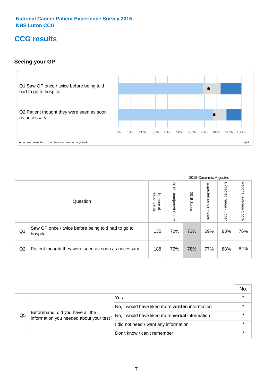# **CCG results**

# **Seeing your GP**



|    |                                                                |                                         |                             |               | 2015 Case-mix Adjusted     |                            |                           |
|----|----------------------------------------------------------------|-----------------------------------------|-----------------------------|---------------|----------------------------|----------------------------|---------------------------|
|    | Question                                                       | respondents<br>Number<br>$\overline{a}$ | 2015<br>Unadjusted<br>Score | 2015<br>Score | Expected<br>range<br>lower | Expected<br>range<br>nbber | National Average<br>Score |
| Q1 | Saw GP once / twice before being told had to go to<br>hospital | 135                                     | 70%                         | 73%           | 69%                        | 83%                        | 76%                       |
| Q2 | Patient thought they were seen as soon as necessary            | 188                                     | 75%                         | 78%           | 77%                        | 88%                        | 82%                       |

|    |                                                                             |                                                 | No. |
|----|-----------------------------------------------------------------------------|-------------------------------------------------|-----|
|    |                                                                             | Yes                                             |     |
| Q5 | Beforehand, did you have all the<br>information you needed about your test? | No, I would have liked more written information |     |
|    |                                                                             | No, I would have liked more verbal information  |     |
|    |                                                                             | I did not need / want any information           |     |
|    |                                                                             | Don't know / can't remember                     |     |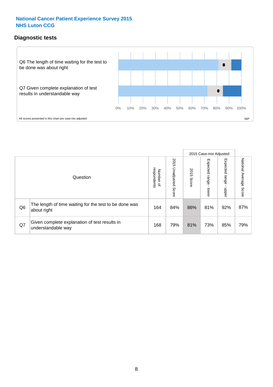# **Diagnostic tests**



|                |                                                                       |                                       |                             |               | 2015 Case-mix Adjusted       |                         |                           |
|----------------|-----------------------------------------------------------------------|---------------------------------------|-----------------------------|---------------|------------------------------|-------------------------|---------------------------|
|                | Question                                                              | respondents<br>Number<br>$\mathbf{Q}$ | 2015<br>Unadjusted<br>Score | 2015<br>Score | Expected<br>I range<br>lower | Expected range<br>nbber | National Average<br>Score |
| Q <sub>6</sub> | The length of time waiting for the test to be done was<br>about right | 164                                   | 84%                         | 86%           | 81%                          | 92%                     | 87%                       |
| Q7             | Given complete explanation of test results in<br>understandable way   | 168                                   | 79%                         | 81%           | 73%                          | 85%                     | 79%                       |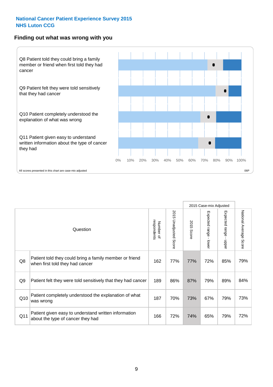### **Finding out what was wrong with you**



|    |                                                                                            |                                         |                             |                    | 2015 Case-mix Adjusted     |                            |
|----|--------------------------------------------------------------------------------------------|-----------------------------------------|-----------------------------|--------------------|----------------------------|----------------------------|
|    | Question                                                                                   | respondents<br>Number<br>$\vec{\sigma}$ | 2015<br>Unadjusted<br>Score | 201<br>Cη<br>Score | Expected<br>range<br>lower | Expected<br>range<br>dpper |
| Q8 | Patient told they could bring a family member or friend<br>when first told they had cancer | 162                                     | 77%                         | 77%                | 72%                        | 85%                        |

|     | Question                                                                                   | respondents<br>Number of | 2015<br>Unadjusted<br>Score | 2015<br>Score | Expected<br>Irange<br>lower | Expected range<br>nbber | National Average Score |
|-----|--------------------------------------------------------------------------------------------|--------------------------|-----------------------------|---------------|-----------------------------|-------------------------|------------------------|
| Q8  | Patient told they could bring a family member or friend<br>when first told they had cancer | 162                      | 77%                         | 77%           | 72%                         | 85%                     | 79%                    |
| Q9  | Patient felt they were told sensitively that they had cancer                               | 189                      | 86%                         | 87%           | 79%                         | 89%                     | 84%                    |
| Q10 | Patient completely understood the explanation of what<br>was wrong                         | 187                      | 70%                         | 73%           | 67%                         | 79%                     | 73%                    |
| Q11 | Patient given easy to understand written information<br>about the type of cancer they had  | 166                      | 72%                         | 74%           | 65%                         | 79%                     | 72%                    |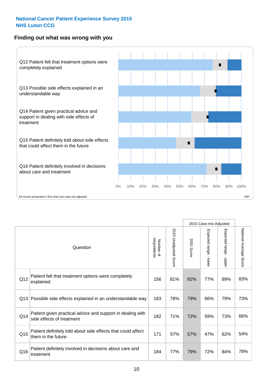# **Finding out what was wrong with you**



|     |                                                                                         |                          |                          |            | 2015 Case-mix Adjusted                  |                           |                        |
|-----|-----------------------------------------------------------------------------------------|--------------------------|--------------------------|------------|-----------------------------------------|---------------------------|------------------------|
|     | Question                                                                                | respondents<br>Number of | 2015<br>Unadjusted Score | 2015 Score | Expected range<br>$\mathbf{r}$<br>lower | Expected range -<br>nbber | National Average Score |
| Q12 | Patient felt that treatment options were completely<br>explained                        | 156                      | 81%                      | 82%        | 77%                                     | 89%                       | 83%                    |
| Q13 | Possible side effects explained in an understandable way                                | 183                      | 78%                      | 79%        | 66%                                     | 79%                       | 73%                    |
| Q14 | Patient given practical advice and support in dealing with<br>side effects of treatment | 182                      | 71%                      | 72%        | 59%                                     | 73%                       | 66%                    |
| Q15 | Patient definitely told about side effects that could affect<br>them in the future      | 171                      | 57%                      | 57%        | 47%                                     | 62%                       | 54%                    |
| Q16 | Patient definitely involved in decisions about care and<br>treatment                    | 184                      | 77%                      | 79%        | 72%                                     | 84%                       | 78%                    |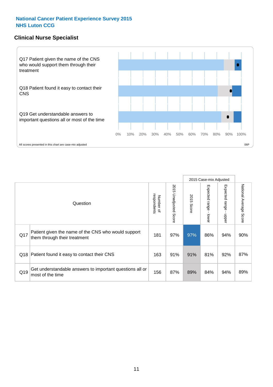### **Clinical Nurse Specialist**



|     |                                                                                     |                          |                       |               | 2015 Case-mix Adjusted  |                         |                        |
|-----|-------------------------------------------------------------------------------------|--------------------------|-----------------------|---------------|-------------------------|-------------------------|------------------------|
|     | Question                                                                            | respondents<br>Number of | 2015 Unadjusted Score | 2015<br>Score | Expected range<br>lower | Expected range<br>nbber | National Average Score |
| Q17 | Patient given the name of the CNS who would support<br>them through their treatment | 181                      | 97%                   | 97%           | 86%                     | 94%                     | 90%                    |
|     | Q18 Patient found it easy to contact their CNS                                      | 163                      | 91%                   | 91%           | 81%                     | 92%                     | 87%                    |
| Q19 | Get understandable answers to important questions all or<br>most of the time        | 156                      | 87%                   | 89%           | 84%                     | 94%                     | 89%                    |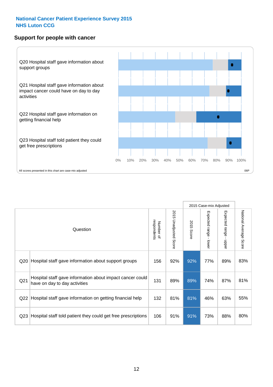### **Support for people with cancer**



|                 |                                                                                            |                          |                                 |                      | 2015 Case-mix Adjusted                  |                                           |                        |  |
|-----------------|--------------------------------------------------------------------------------------------|--------------------------|---------------------------------|----------------------|-----------------------------------------|-------------------------------------------|------------------------|--|
|                 | Question                                                                                   | respondents<br>Number of | 2015<br><b>Unadjusted Score</b> | 2015<br><b>Score</b> | Expected range<br>$\mathbf{r}$<br>lower | Expected range<br>$\blacksquare$<br>nbber | National Average Score |  |
| Q <sub>20</sub> | Hospital staff gave information about support groups                                       | 156                      | 92%                             | 92%                  | 77%                                     | 89%                                       | 83%                    |  |
| Q21             | Hospital staff gave information about impact cancer could<br>have on day to day activities | 131                      | 89%                             | 89%                  | 74%                                     | 87%                                       | 81%                    |  |
| Q <sub>22</sub> | Hospital staff gave information on getting financial help                                  | 132                      | 81%                             | 81%                  | 46%                                     | 63%                                       | 55%                    |  |
| Q <sub>23</sub> | Hospital staff told patient they could get free prescriptions                              | 106                      | 91%                             | 91%                  | 73%                                     | 88%                                       | 80%                    |  |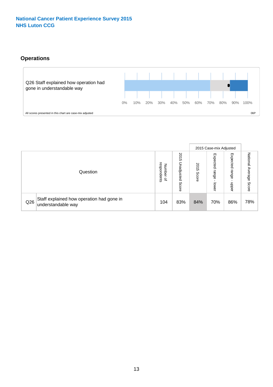# **Operations**



|     |                                                                 |                                         |                             | 2015 Case-mix Adjusted |                            |                           |                              |
|-----|-----------------------------------------------------------------|-----------------------------------------|-----------------------------|------------------------|----------------------------|---------------------------|------------------------------|
|     | Question                                                        | respondents<br>Number<br>$\overline{a}$ | 2015<br>Unadjusted<br>Score | 2015<br>Score          | Expected<br>range<br>lower | Expected<br>range<br>ddoe | National<br>Average<br>Score |
| Q26 | Staff explained how operation had gone in<br>understandable way | 104                                     | 83%                         | 84%                    | 70%                        | 86%                       | 78%                          |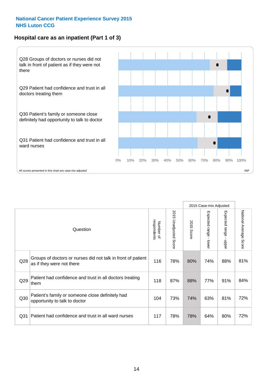# **Hospital care as an inpatient (Part 1 of 3)**



All scores presented in this chart are case-mix adjusted  $06P$ 

|                 |                                                                                           | 2015 Case-mix Adjusted   |                       |                      |                                         |                                           |                        |
|-----------------|-------------------------------------------------------------------------------------------|--------------------------|-----------------------|----------------------|-----------------------------------------|-------------------------------------------|------------------------|
|                 | Question                                                                                  | respondents<br>Number of | 2015 Unadjusted Score | 2015<br><b>Score</b> | Expected range<br>$\mathbf{r}$<br>lower | Expected range<br>$\blacksquare$<br>nbber | National Average Score |
| Q28             | Groups of doctors or nurses did not talk in front of patient<br>as if they were not there | 116                      | 78%                   | 80%                  | 74%                                     | 88%                                       | 81%                    |
| Q29             | Patient had confidence and trust in all doctors treating<br>them                          | 118                      | 87%                   | 88%                  | 77%                                     | 91%                                       | 84%                    |
| Q30             | Patient's family or someone close definitely had<br>opportunity to talk to doctor         | 104                      | 73%                   | 74%                  | 63%                                     | 81%                                       | 72%                    |
| Q <sub>31</sub> | Patient had confidence and trust in all ward nurses                                       | 117                      | 78%                   | 78%                  | 64%                                     | 80%                                       | 72%                    |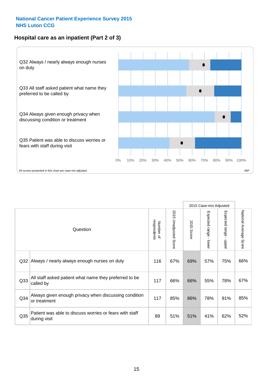# **Hospital care as an inpatient (Part 2 of 3)**



|                 |                                                                         |                          |                       |            | 2015 Case-mix Adjusted |                                           |                        |
|-----------------|-------------------------------------------------------------------------|--------------------------|-----------------------|------------|------------------------|-------------------------------------------|------------------------|
|                 | Question                                                                | respondents<br>Number of | 2015 Unadjusted Score | 2015 Score | Expected range - lower | Expected range<br>$\blacksquare$<br>nbber | National Average Score |
| Q <sub>32</sub> | Always / nearly always enough nurses on duty                            | 116                      | 67%                   | 69%        | 57%                    | 75%                                       | 66%                    |
| Q <sub>33</sub> | All staff asked patient what name they preferred to be<br>called by     | 117                      | 66%                   | 66%        | 55%                    | 78%                                       | 67%                    |
| Q34             | Always given enough privacy when discussing condition<br>or treatment   | 117                      | 85%                   | 86%        | 78%                    | 91%                                       | 85%                    |
| Q35             | Patient was able to discuss worries or fears with staff<br>during visit | 89                       | 51%                   | 51%        | 41%                    | 62%                                       | 52%                    |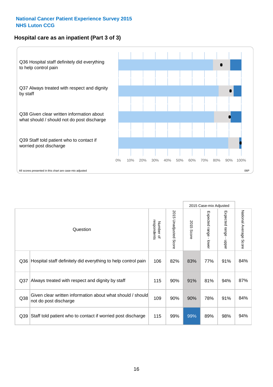# **Hospital care as an inpatient (Part 3 of 3)**



|                 |                                                                                     |                          |                          |               | 2015 Case-mix Adjusted                  |                                           |                        |
|-----------------|-------------------------------------------------------------------------------------|--------------------------|--------------------------|---------------|-----------------------------------------|-------------------------------------------|------------------------|
|                 | Question                                                                            | respondents<br>Number of | 2015<br>Unadjusted Score | 2015<br>Score | Expected range<br>$\mathbf{r}$<br>lower | Expected range<br>$\blacksquare$<br>nbber | National Average Score |
| Q36             | Hospital staff definitely did everything to help control pain                       | 106                      | 82%                      | 83%           | 77%                                     | 91%                                       | 84%                    |
| Q <sub>37</sub> | Always treated with respect and dignity by staff                                    | 115                      | 90%                      | 91%           | 81%                                     | 94%                                       | 87%                    |
| Q38             | Given clear written information about what should / should<br>not do post discharge | 109                      | 90%                      | 90%           | 78%                                     | 91%                                       | 84%                    |
| Q <sub>39</sub> | Staff told patient who to contact if worried post discharge                         | 115                      | 99%                      | 99%           | 89%                                     | 98%                                       | 94%                    |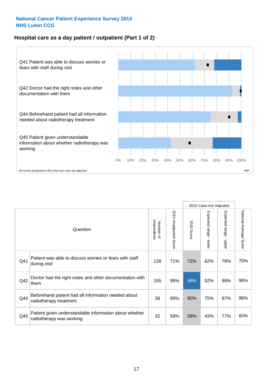# **Hospital care as a day patient / outpatient (Part 1 of 2)**



|     |                                                                                    |                          |                                 |                      | 2015 Case-mix Adjusted                    |                                           |                        |
|-----|------------------------------------------------------------------------------------|--------------------------|---------------------------------|----------------------|-------------------------------------------|-------------------------------------------|------------------------|
|     | Question                                                                           | respondents<br>Number of | 2015<br><b>Unadjusted Score</b> | 2015<br><b>Score</b> | Expected range<br>$\blacksquare$<br>lower | Expected range<br>$\blacksquare$<br>nbber | National Average Score |
| Q41 | Patient was able to discuss worries or fears with staff<br>during visit            | 139                      | 71%                             | 72%                  | 62%                                       | 78%                                       | 70%                    |
| Q42 | Doctor had the right notes and other documentation with<br>them                    | 155                      | 99%                             | 99%                  | 92%                                       | 99%                                       | 96%                    |
| Q44 | Beforehand patient had all information needed about<br>radiotherapy treatment      | 38                       | 89%                             | 90%                  | 75%                                       | 97%                                       | 86%                    |
| Q45 | Patient given understandable information about whether<br>radiotherapy was working | 32                       | 59%                             | 58%                  | 43%                                       | 77%                                       | 60%                    |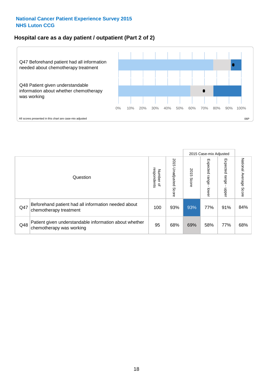# **Hospital care as a day patient / outpatient (Part 2 of 2)**



|     |                                                                                    |                                       |                             | 2015 Case-mix Adjusted |                         |                         |                           |
|-----|------------------------------------------------------------------------------------|---------------------------------------|-----------------------------|------------------------|-------------------------|-------------------------|---------------------------|
|     | Question                                                                           | respondents<br>Number<br>$\mathbf{Q}$ | 2015<br>Unadjusted<br>Score | 2015<br>Score          | Expected range<br>lower | Expected range<br>nbber | National Average<br>Score |
| Q47 | Beforehand patient had all information needed about<br>chemotherapy treatment      | 100                                   | 93%                         | 93%                    | 77%                     | 91%                     | 84%                       |
| Q48 | Patient given understandable information about whether<br>chemotherapy was working | 95                                    | 68%                         | 69%                    | 58%                     | 77%                     | 68%                       |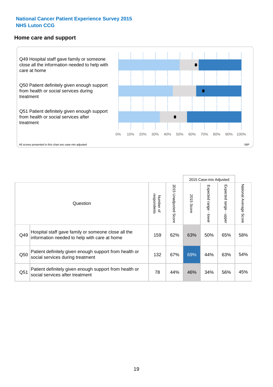#### **Home care and support**



2015 Case-mix Adjusted 2015 Unadjusted Score Expected range - upper National Average Score 2015 Unadjusted Score Expected range - lower National Average Score Expected range - lower Expected range - upper Number of<br>respondents 2015 Score respondents 2015 Score Number of Question Hospital staff gave family or someone close all the  $Q49$  information needed to help with care at home  $Q49$  62% 63% 50% 65% 65% 58% Patient definitely given enough support from health or Q50 social services during treatment 132 | 67% 69% 44% 63% 54% Patient definitely given enough support from health or Q51 social services after treatment<br>
Q51 social services after treatment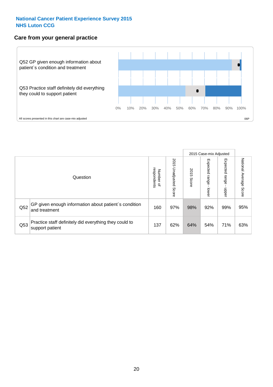# **Care from your general practice**



|     |                                                                           |                                       |                             |               | 2015 Case-mix Adjusted            |                            |                           |
|-----|---------------------------------------------------------------------------|---------------------------------------|-----------------------------|---------------|-----------------------------------|----------------------------|---------------------------|
|     | Question                                                                  | respondents<br>Number<br>$\mathbf{Q}$ | 2015<br>Unadjusted<br>Score | 2015<br>Score | Expected<br><b>Lange</b><br>lower | Expected<br>range<br>doper | National Average<br>Score |
| Q52 | GP given enough information about patient's condition<br>and treatment    | 160                                   | 97%                         | 98%           | 92%                               | 99%                        | 95%                       |
| Q53 | Practice staff definitely did everything they could to<br>support patient | 137                                   | 62%                         | 64%           | 54%                               | 71%                        | 63%                       |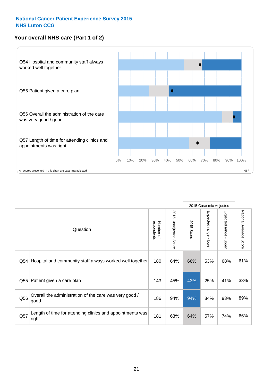# **Your overall NHS care (Part 1 of 2)**



|     |                                                                    |                          |                                 |                      | 2015 Case-mix Adjusted  |                                           |                        |
|-----|--------------------------------------------------------------------|--------------------------|---------------------------------|----------------------|-------------------------|-------------------------------------------|------------------------|
|     | Question                                                           | respondents<br>Number of | 2015<br><b>Unadjusted Score</b> | 2015<br><b>Score</b> | Expected range<br>lower | Expected range<br>$\blacksquare$<br>nbber | National Average Score |
| Q54 | Hospital and community staff always worked well together           | 180                      | 64%                             | 66%                  | 53%                     | 68%                                       | 61%                    |
| Q55 | Patient given a care plan                                          | 143                      | 45%                             | 43%                  | 25%                     | 41%                                       | 33%                    |
| Q56 | Overall the administration of the care was very good /<br>good     | 186                      | 94%                             | 94%                  | 84%                     | 93%                                       | 89%                    |
| Q57 | Length of time for attending clinics and appointments was<br>right | 181                      | 63%                             | 64%                  | 57%                     | 74%                                       | 66%                    |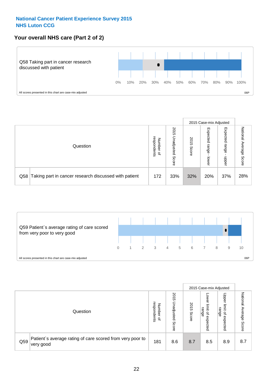# **Your overall NHS care (Part 2 of 2)**



|     |                                                       |                                         |                             | 2015 Case-mix Adjusted |                            |                            |                        |
|-----|-------------------------------------------------------|-----------------------------------------|-----------------------------|------------------------|----------------------------|----------------------------|------------------------|
|     | Question                                              | respondents<br>Number<br>$\overline{a}$ | 2015<br>Jnadjusted<br>Score | 2015<br>Score          | Expected<br>range<br>lower | Expected<br>range<br>doper | National Average Score |
| Q58 | Taking part in cancer research discussed with patient | 172                                     | 33%                         | 32%                    | 20%                        | 37%                        | 28%                    |



|     |                                                                        |                                   |                             |               |                                                           | 2015 Case-mix Adjusted                                |                              |
|-----|------------------------------------------------------------------------|-----------------------------------|-----------------------------|---------------|-----------------------------------------------------------|-------------------------------------------------------|------------------------------|
|     | Question                                                               | respondents<br>Number<br>$\Omega$ | 2015<br>Jnadjusted<br>Score | 2015<br>Score | OWer<br>limit<br>range<br>$\overline{\sigma}$<br>expected | Upper<br>limit<br>range<br>$\overline{a}$<br>expected | National<br>Average<br>Score |
| Q59 | Patient's average rating of care scored from very poor to<br>very good | 181                               | 8.6                         | 8.7           | 8.5                                                       | 8.9                                                   | 8.7                          |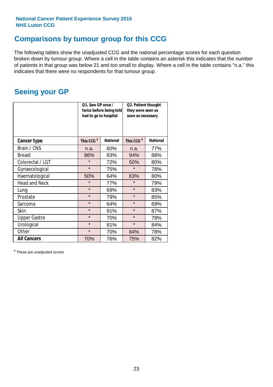# **Comparisons by tumour group for this CCG**

The following tables show the unadjusted CCG and the national percentage scores for each question broken down by tumour group. Where a cell in the table contains an asterisk this indicates that the number of patients in that group was below 21 and too small to display. Where a cell in the table contains "n.a." this indicates that there were no respondents for that tumour group.

# **Seeing your GP**

|                      | Q1. Saw GP once /<br>had to go to hospital | twice before being told | Q2. Patient thought<br>they were seen as<br>soon as necessary |                 |  |
|----------------------|--------------------------------------------|-------------------------|---------------------------------------------------------------|-----------------|--|
| <b>Cancer type</b>   | This CCG <sup>\$</sup>                     | <b>National</b>         | This CCG <sup>\$</sup>                                        | <b>National</b> |  |
| Brain / CNS          | n.a.                                       | 60%                     | n.a.                                                          | 77%             |  |
| <b>Breast</b>        | 86%                                        | 93%                     | 94%                                                           | 88%             |  |
| Colorectal / LGT     | $\star$                                    | 72%                     | 50%                                                           | 80%             |  |
| Gynaecological       | $\star$                                    | 75%                     | $\star$                                                       | 78%             |  |
| Haematological       | 50%                                        | 64%                     | 63%                                                           | 80%             |  |
| <b>Head and Neck</b> | $\star$                                    | 77%                     | $\star$                                                       | 79%             |  |
| Lung                 | $\star$                                    | 69%                     | $\star$                                                       | 83%             |  |
| Prostate             | $\star$                                    | 79%                     | $\star$                                                       | 85%             |  |
| Sarcoma              | $\star$                                    | 64%                     | $\star$                                                       | 69%             |  |
| <b>Skin</b>          | $\star$                                    | 91%                     | $\star$                                                       | 87%             |  |
| <b>Upper Gastro</b>  | $\star$                                    | 70%                     | $\star$                                                       | 78%             |  |
| Urological           | $\star$                                    | 81%                     | $\star$                                                       | 84%             |  |
| Other                | $\star$                                    | 70%                     | 84%                                                           | 78%             |  |
| <b>All Cancers</b>   | 70%                                        | 76%                     | 75%                                                           | 82%             |  |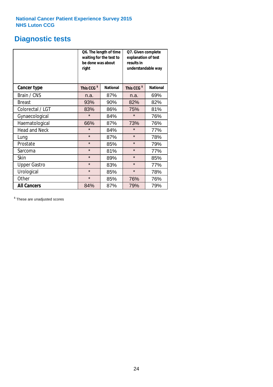# **Diagnostic tests**

|                      | be done was about<br>right | Q6. The length of time<br>waiting for the test to | Q7. Given complete<br>explanation of test<br>results in<br>understandable way |                 |  |
|----------------------|----------------------------|---------------------------------------------------|-------------------------------------------------------------------------------|-----------------|--|
| <b>Cancer type</b>   | This CCG <sup>\$</sup>     | <b>National</b>                                   | This CCG <sup>\$</sup>                                                        | <b>National</b> |  |
| Brain / CNS          | n.a.                       | 87%                                               | n.a.                                                                          | 69%             |  |
| <b>Breast</b>        | 93%                        | 90%                                               | 82%                                                                           | 82%             |  |
| Colorectal / LGT     | 83%                        | 86%                                               | 75%                                                                           | 81%             |  |
| Gynaecological       | $\star$                    | 84%                                               |                                                                               | 76%             |  |
| Haematological       | 66%                        | 87%                                               | 73%                                                                           | 76%             |  |
| <b>Head and Neck</b> | $\star$                    | 84%                                               | $\star$                                                                       | 77%             |  |
| Lung                 | $\star$                    | 87%                                               | $\star$                                                                       | 78%             |  |
| Prostate             | $\star$                    | 85%                                               | $\star$                                                                       | 79%             |  |
| Sarcoma              | $\star$                    | 81%                                               | $\star$                                                                       | 77%             |  |
| Skin                 | $\star$                    | 89%                                               | $\star$                                                                       | 85%             |  |
| <b>Upper Gastro</b>  | $\star$                    | 83%                                               | $\star$                                                                       | 77%             |  |
| Urological           | $\star$                    | 85%                                               | $\star$                                                                       | 78%             |  |
| Other                | $\star$<br>85%             |                                                   | 76%                                                                           | 76%             |  |
| <b>All Cancers</b>   | 84%                        | 87%                                               | 79%                                                                           | 79%             |  |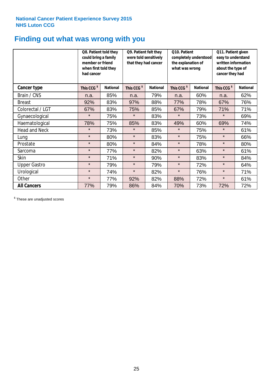# **Finding out what was wrong with you**

|                      | Q8. Patient told they<br>could bring a family<br>member or friend<br>when first told they<br>had cancer |                 | Q9. Patient felt they<br>were told sensitively<br>that they had cancer |                 | Q10. Patient<br>completely understood<br>the explanation of<br>what was wrong |                 | Q11. Patient given<br>easy to understand<br>written information<br>about the type of<br>cancer they had |                 |
|----------------------|---------------------------------------------------------------------------------------------------------|-----------------|------------------------------------------------------------------------|-----------------|-------------------------------------------------------------------------------|-----------------|---------------------------------------------------------------------------------------------------------|-----------------|
| <b>Cancer type</b>   | This CCG <sup>\$</sup>                                                                                  | <b>National</b> | This CCG <sup>\$</sup>                                                 | <b>National</b> | This CCG <sup>\$</sup>                                                        | <b>National</b> | This CCG <sup>\$</sup>                                                                                  | <b>National</b> |
| Brain / CNS          | n.a.                                                                                                    | 85%             | n.a.                                                                   | 79%             | n.a.                                                                          | 60%             | n.a.                                                                                                    | 62%             |
| <b>Breast</b>        | 92%                                                                                                     | 83%             | 97%                                                                    | 88%             | 77%                                                                           | 78%             | 67%                                                                                                     | 76%             |
| Colorectal / LGT     | 67%                                                                                                     | 83%             | 75%                                                                    | 85%             | 67%                                                                           | 79%             | 71%                                                                                                     | 71%             |
| Gynaecological       | $\star$                                                                                                 | 75%             | $\star$                                                                | 83%             | $\star$                                                                       | 73%             | $\star$                                                                                                 | 69%             |
| Haematological       | 78%                                                                                                     | 75%             | 85%                                                                    | 83%             | 49%                                                                           | 60%             | 69%                                                                                                     | 74%             |
| <b>Head and Neck</b> | $\star$                                                                                                 | 73%             | $\star$                                                                | 85%             | $\star$                                                                       | 75%             | $\star$                                                                                                 | 61%             |
| Lung                 | $\star$                                                                                                 | 80%             | $\star$                                                                | 83%             | $\star$                                                                       | 75%             | $\star$                                                                                                 | 66%             |
| Prostate             | $\star$                                                                                                 | 80%             | $\star$                                                                | 84%             | $\star$                                                                       | 78%             | $\star$                                                                                                 | 80%             |
| Sarcoma              | $\star$                                                                                                 | 77%             | $\star$                                                                | 82%             | $\star$                                                                       | 63%             | $\star$                                                                                                 | 61%             |
| Skin                 | $\star$                                                                                                 | 71%             | $\star$                                                                | 90%             | $\star$                                                                       | 83%             | $\star$                                                                                                 | 84%             |
| <b>Upper Gastro</b>  | $\star$                                                                                                 | 79%             | $\star$                                                                | 79%             | $\star$                                                                       | 72%             | $\star$                                                                                                 | 64%             |
| Urological           | $\star$                                                                                                 | 74%             | $\star$                                                                | 82%             | $\star$                                                                       | 76%             | $\star$                                                                                                 | 71%             |
| Other                | $\star$                                                                                                 | 77%             | 92%                                                                    | 82%             | 88%                                                                           | 72%             | $\star$                                                                                                 | 61%             |
| <b>All Cancers</b>   | 77%                                                                                                     | 79%             | 86%                                                                    | 84%             | 70%                                                                           | 73%             | 72%                                                                                                     | 72%             |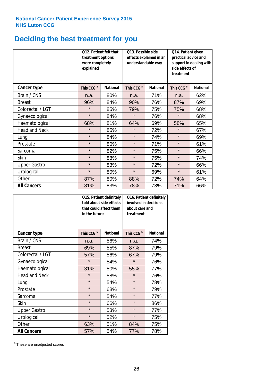# **Deciding the best treatment for you**

|                      | 012. Patient felt that<br>treatment options<br>were completely<br>explained |                 | O13. Possible side<br>understandable way | effects explained in an | Q14. Patient given<br>practical advice and<br>support in dealing with<br>side effects of<br>treatment |                 |  |
|----------------------|-----------------------------------------------------------------------------|-----------------|------------------------------------------|-------------------------|-------------------------------------------------------------------------------------------------------|-----------------|--|
| <b>Cancer type</b>   | This CCG <sup>\$</sup>                                                      | <b>National</b> | This CCG <sup>\$</sup>                   | <b>National</b>         | This CCG <sup>\$</sup>                                                                                | <b>National</b> |  |
| Brain / CNS          | n.a.                                                                        | 80%             | n.a.                                     | 71%                     | n.a.                                                                                                  | 62%             |  |
| <b>Breast</b>        | 96%                                                                         | 84%             | 90%                                      | 76%                     | 87%                                                                                                   | 69%             |  |
| Colorectal / LGT     | $\star$                                                                     | 85%             | 79%                                      | 75%                     | 75%                                                                                                   | 68%             |  |
| Gynaecological       | $\star$                                                                     | 84%             | $\star$                                  | 76%                     | $\star$                                                                                               | 68%             |  |
| Haematological       | 68%                                                                         | 81%             | 64%                                      | 69%                     | 58%                                                                                                   | 65%             |  |
| <b>Head and Neck</b> | $\star$                                                                     | 85%             | $\star$                                  | 72%                     | $\star$                                                                                               | 67%             |  |
| Lung                 | $\star$                                                                     | 84%             | $\star$                                  | 74%                     | $\star$                                                                                               | 69%             |  |
| Prostate             | $\star$                                                                     | 80%             | $\star$                                  | 71%                     | $\star$                                                                                               | 61%             |  |
| Sarcoma              | $\star$                                                                     | 82%             | $\star$                                  | 75%                     | $\star$                                                                                               | 66%             |  |
| Skin                 | $\star$                                                                     | 88%             | $\star$                                  | 75%                     | $\star$                                                                                               | 74%             |  |
| <b>Upper Gastro</b>  | $\star$                                                                     | 83%             | $\star$                                  | 72%                     | $\star$                                                                                               | 66%             |  |
| Urological           | $\star$                                                                     | 80%             | $\star$                                  | 69%                     | $\star$                                                                                               | 61%             |  |
| Other                | 87%                                                                         | 80%             | 88%                                      | 72%                     | 74%                                                                                                   | 64%             |  |
| <b>All Cancers</b>   | 81%                                                                         | 83%             | 78%                                      | 73%                     | 71%                                                                                                   | 66%             |  |

|                      | in the future          | Q15. Patient definitely<br>told about side effects<br>that could affect them | Q16. Patient definitely<br>involved in decisions<br>about care and<br>treatment |                 |  |
|----------------------|------------------------|------------------------------------------------------------------------------|---------------------------------------------------------------------------------|-----------------|--|
| <b>Cancer type</b>   | This CCG <sup>\$</sup> | <b>National</b>                                                              | This CCG <sup>\$</sup>                                                          | <b>National</b> |  |
| Brain / CNS          | n.a.                   | 56%                                                                          | n.a.                                                                            | 74%             |  |
| <b>Breast</b>        | 69%                    | 55%                                                                          | 87%                                                                             | 79%             |  |
| Colorectal / LGT     | 57%                    | 56%                                                                          | 67%                                                                             | 79%             |  |
| Gynaecological       | $\star$<br>54%         |                                                                              | $\star$                                                                         | 76%             |  |
| Haematological       | 31%                    | 50%                                                                          | 55%                                                                             | 77%             |  |
| <b>Head and Neck</b> | $\star$                | 58%                                                                          | $\star$                                                                         | 76%             |  |
| Lung                 | $\star$                | 54%                                                                          | $\star$                                                                         | 78%             |  |
| Prostate             | $\star$                | 63%                                                                          | $\star$                                                                         | 79%             |  |
| Sarcoma              | $\star$                | 54%                                                                          | $\star$                                                                         | 77%             |  |
| Skin                 | $\star$                | 66%                                                                          | $\star$                                                                         | 86%             |  |
| <b>Upper Gastro</b>  | $\star$                | 53%                                                                          | $\star$                                                                         | 77%             |  |
| Urological           | $\star$                | 52%                                                                          | $\star$                                                                         | 75%             |  |
| Other                | 63%                    | 51%                                                                          | 84%                                                                             | 75%             |  |
| <b>All Cancers</b>   | 57%                    | 54%                                                                          | 77%                                                                             | 78%             |  |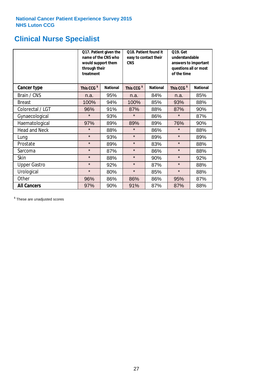# **Clinical Nurse Specialist**

|                      | would support them<br>through their<br>treatment | Q17. Patient given the<br>name of the CNS who | Q18. Patient found it<br>easy to contact their<br><b>CNS</b> |                 | <b>Q19. Get</b><br>understandable<br>answers to important<br>questions all or most<br>of the time |                 |
|----------------------|--------------------------------------------------|-----------------------------------------------|--------------------------------------------------------------|-----------------|---------------------------------------------------------------------------------------------------|-----------------|
| <b>Cancer type</b>   | This CCG <sup>\$</sup>                           | <b>National</b>                               | This CCG <sup>\$</sup>                                       | <b>National</b> | This CCG <sup>\$</sup>                                                                            | <b>National</b> |
| Brain / CNS          | n.a.                                             | 95%                                           | n.a.                                                         | 84%             | n.a.                                                                                              | 85%             |
| <b>Breast</b>        | 100%                                             | 94%                                           | 100%                                                         | 85%             | 93%                                                                                               | 88%             |
| Colorectal / LGT     | 96%                                              | 91%                                           | 87%                                                          | 88%             | 87%                                                                                               | 90%             |
| Gynaecological       | $\star$                                          | 93%                                           | $\star$                                                      | 86%             | $\star$                                                                                           | 87%             |
| Haematological       | 97%                                              | 89%                                           | 89%                                                          | 89%             | 76%                                                                                               | 90%             |
| <b>Head and Neck</b> | $\star$                                          | 88%                                           | $\star$                                                      | 86%             | $\star$                                                                                           | 88%             |
| Lung                 | $\star$                                          | 93%                                           | $\star$                                                      | 89%             | $\star$                                                                                           | 89%             |
| Prostate             | $\star$                                          | 89%                                           | $\star$                                                      | 83%             | $\star$                                                                                           | 88%             |
| Sarcoma              | $\star$                                          | 87%                                           | $\star$                                                      | 86%             | $\star$                                                                                           | 88%             |
| Skin                 | $\star$                                          | 88%                                           | $\star$                                                      | 90%             | $\star$                                                                                           | 92%             |
| <b>Upper Gastro</b>  | $\star$                                          | 92%                                           | $\star$                                                      | 87%             | $\star$                                                                                           | 88%             |
| Urological           | $\star$                                          | 80%                                           | $\star$                                                      | 85%             | $\star$                                                                                           | 88%             |
| Other                | 96%                                              | 86%                                           | 86%                                                          | 86%             | 95%                                                                                               | 87%             |
| <b>All Cancers</b>   | 97%                                              | 90%                                           | 91%                                                          | 87%             | 87%                                                                                               | 88%             |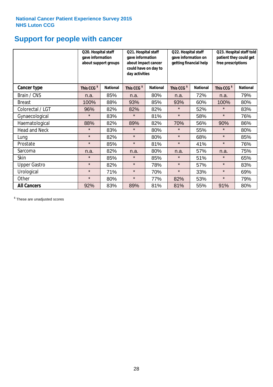# **Support for people with cancer**

|                      | gave information       | Q20. Hospital staff<br>Q21. Hospital staff<br>gave information<br>about support groups<br>about impact cancer<br>could have on day to<br>day activities |                        |                 | Q22. Hospital staff<br>gave information on<br>getting financial help |                 | Q23. Hospital staff told<br>patient they could get<br>free prescriptions |                 |
|----------------------|------------------------|---------------------------------------------------------------------------------------------------------------------------------------------------------|------------------------|-----------------|----------------------------------------------------------------------|-----------------|--------------------------------------------------------------------------|-----------------|
| <b>Cancer type</b>   | This CCG <sup>\$</sup> | <b>National</b>                                                                                                                                         | This CCG <sup>\$</sup> | <b>National</b> | This CCG <sup>\$</sup>                                               | <b>National</b> | This CCG <sup>\$</sup>                                                   | <b>National</b> |
| Brain / CNS          | n.a.                   | 85%                                                                                                                                                     | n.a.                   | 80%             | n.a.                                                                 | 72%             | n.a.                                                                     | 79%             |
| <b>Breast</b>        | 100%                   | 88%                                                                                                                                                     | 93%                    | 85%             | 93%                                                                  | 60%             | 100%                                                                     | 80%             |
| Colorectal / LGT     | 96%                    | 82%                                                                                                                                                     | 82%                    | 82%             | $\star$                                                              | 52%             | $\star$                                                                  | 83%             |
| Gynaecological       | $\star$                | 83%                                                                                                                                                     | $\star$                | 81%             | $\star$                                                              | 58%             | $\star$                                                                  | 76%             |
| Haematological       | 88%                    | 82%                                                                                                                                                     | 89%                    | 82%             | 70%                                                                  | 56%             | 90%                                                                      | 86%             |
| <b>Head and Neck</b> | $\star$                | 83%                                                                                                                                                     | $\star$                | 80%             | $^\star$                                                             | 55%             | $\star$                                                                  | 80%             |
| Lung                 | $\star$                | 82%                                                                                                                                                     | $\star$                | 80%             | $\star$                                                              | 68%             | $\star$                                                                  | 85%             |
| Prostate             | $\star$                | 85%                                                                                                                                                     | $\star$                | 81%             | $\star$                                                              | 41%             | $\star$                                                                  | 76%             |
| Sarcoma              | n.a.                   | 82%                                                                                                                                                     | n.a.                   | 80%             | n.a.                                                                 | 57%             | n.a.                                                                     | 75%             |
| Skin                 | $\star$                | 85%                                                                                                                                                     | $\star$                | 85%             | $\star$                                                              | 51%             | $\star$                                                                  | 65%             |
| <b>Upper Gastro</b>  | $\star$                | 82%                                                                                                                                                     | $\star$                | 78%             | $\star$                                                              | 57%             | $\star$                                                                  | 83%             |
| Urological           | $\star$                | 71%                                                                                                                                                     | $\star$                | 70%             | $\star$                                                              | 33%             | $\star$                                                                  | 69%             |
| Other                | $\star$                | 80%                                                                                                                                                     | $\star$                | 77%             | 82%                                                                  | 53%             | $\star$                                                                  | 79%             |
| <b>All Cancers</b>   | 92%                    | 83%                                                                                                                                                     | 89%                    | 81%             | 81%                                                                  | 55%             | 91%                                                                      | 80%             |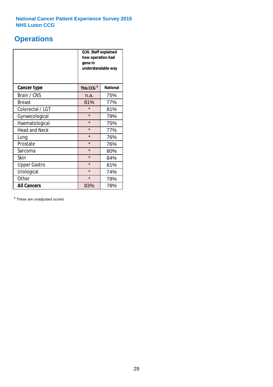# **Operations**

|                      | Q26. Staff explained<br>how operation had<br>gone in<br>understandable way |                 |  |  |
|----------------------|----------------------------------------------------------------------------|-----------------|--|--|
| <b>Cancer type</b>   | This CCG <sup>\$</sup>                                                     | <b>National</b> |  |  |
| Brain / CNS          | n.a.                                                                       | 75%             |  |  |
| <b>Breast</b>        | 81%                                                                        | 77%             |  |  |
| Colorectal / LGT     | $\star$                                                                    | 81%             |  |  |
| Gynaecological       | $\star$                                                                    | 79%             |  |  |
| Haematological       | $\star$<br>75%                                                             |                 |  |  |
| <b>Head and Neck</b> | $\star$                                                                    | 77%             |  |  |
| Lung                 | $\star$                                                                    | 76%             |  |  |
| Prostate             | $\star$                                                                    | 76%             |  |  |
| Sarcoma              | $\star$                                                                    | 80%             |  |  |
| Skin                 | $\star$                                                                    | 84%             |  |  |
| <b>Upper Gastro</b>  | $\star$                                                                    | 81%             |  |  |
| Urological           | $\star$                                                                    | 74%             |  |  |
| Other                | $\star$<br>78%                                                             |                 |  |  |
| <b>All Cancers</b>   | 83%                                                                        | 78%             |  |  |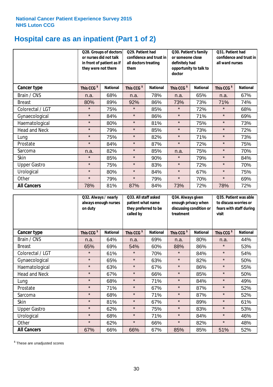# **Hospital care as an inpatient (Part 1 of 2)**

|                      | or nurses did not talk<br>they were not there | Q28. Groups of doctors<br>in front of patient as if | Q29. Patient had<br>confidence and trust in<br>all doctors treating<br>them |                 | Q30. Patient's family<br>or someone close<br>definitely had<br>opportunity to talk to<br>doctor |                 | Q31. Patient had<br>confidence and trust in I<br>all ward nurses |                 |
|----------------------|-----------------------------------------------|-----------------------------------------------------|-----------------------------------------------------------------------------|-----------------|-------------------------------------------------------------------------------------------------|-----------------|------------------------------------------------------------------|-----------------|
| Cancer type          | This CCG <sup>\$</sup>                        | <b>National</b>                                     | This CCG <sup>\$</sup>                                                      | <b>National</b> | This CCG <sup>\$</sup>                                                                          | <b>National</b> | This CCG <sup>\$</sup>                                           | <b>National</b> |
| Brain / CNS          | n.a.                                          | 68%                                                 | n.a.                                                                        | 78%             | n.a.                                                                                            | 65%             | n.a.                                                             | 67%             |
| <b>Breast</b>        | 80%                                           | 89%                                                 | 92%                                                                         | 86%             | 73%                                                                                             | 73%             | 71%                                                              | 74%             |
| Colorectal / LGT     | $\star$                                       | 75%                                                 | $\star$                                                                     | 85%             | $\star$                                                                                         | 72%             | $\star$                                                          | 68%             |
| Gynaecological       | $\star$                                       | 84%                                                 | $\star$                                                                     | 86%             | $\star$                                                                                         | 71%             | $\star$                                                          | 69%             |
| Haematological       | $\star$                                       | 80%                                                 | $\star$                                                                     | 81%             | $\star$                                                                                         | 75%             | $\star$                                                          | 73%             |
| <b>Head and Neck</b> | $\star$                                       | 79%                                                 | $\star$                                                                     | 85%             | $\star$                                                                                         | 73%             | $\star$                                                          | 72%             |
| Lung                 | $\star$                                       | 75%                                                 | $\star$                                                                     | 82%             | $\star$                                                                                         | 71%             | $\star$                                                          | 73%             |
| Prostate             | $\star$                                       | 84%                                                 | $\star$                                                                     | 87%             | $\star$                                                                                         | 72%             | $\star$                                                          | 75%             |
| Sarcoma              | n.a.                                          | 82%                                                 | $\star$                                                                     | 85%             | n.a.                                                                                            | 75%             | $\star$                                                          | 70%             |
| Skin                 | $\star$                                       | 85%                                                 | $\star$                                                                     | 90%             | $\star$                                                                                         | 79%             | $\star$                                                          | 84%             |
| <b>Upper Gastro</b>  | $\star$                                       | 75%                                                 | $\star$                                                                     | 83%             | $\star$                                                                                         | 72%             | $\star$                                                          | 70%             |
| Urological           | $\star$                                       | 80%                                                 | $\star$                                                                     | 84%             | $\star$                                                                                         | 67%             | $\star$                                                          | 75%             |
| Other                | $\star$                                       | 79%                                                 | $\star$                                                                     | 79%             | $\star$                                                                                         | 70%             | $\star$                                                          | 69%             |
| <b>All Cancers</b>   | 78%                                           | 81%                                                 | 87%                                                                         | 84%             | 73%                                                                                             | 72%             | 78%                                                              | 72%             |

|                      | on duty                | Q32. Always / nearly<br>always enough nurses |                        | Q33. All staff asked<br>patient what name<br>they preferred to be | Q34. Always given<br>enough privacy when<br>discussing condition or<br>treatment |                 | Q35. Patient was able<br>to discuss worries or<br>fears with staff during<br>visit |                 |
|----------------------|------------------------|----------------------------------------------|------------------------|-------------------------------------------------------------------|----------------------------------------------------------------------------------|-----------------|------------------------------------------------------------------------------------|-----------------|
| <b>Cancer type</b>   | This CCG <sup>\$</sup> | <b>National</b>                              | This CCG <sup>\$</sup> | <b>National</b>                                                   | This CCG <sup>\$</sup>                                                           | <b>National</b> | This CCG <sup>\$</sup>                                                             | <b>National</b> |
| Brain / CNS          | n.a.                   | 64%                                          | n.a.                   | 69%                                                               | n.a.                                                                             | 80%             | n.a.                                                                               | 44%             |
| <b>Breast</b>        | 65%                    | 69%                                          | 54%                    | 60%                                                               | 88%                                                                              | 86%             | $\star$                                                                            | 53%             |
| Colorectal / LGT     | $\star$                | 61%                                          | $\star$                | 70%                                                               | $\star$                                                                          | 84%             | $\star$                                                                            | 54%             |
| Gynaecological       | $\star$                | 65%                                          | $\star$                | 63%                                                               | $\star$                                                                          | 82%             | $\star$                                                                            | 50%             |
| Haematological       | $\star$                | 63%                                          | $\star$                | 67%                                                               | $\star$                                                                          | 86%             | $\star$                                                                            | 55%             |
| <b>Head and Neck</b> | $\star$                | 67%                                          | $\star$                | 66%                                                               | $\star$                                                                          | 85%             | $\star$                                                                            | 50%             |
| Lung                 | $\star$                | 68%                                          | $\star$                | 71%                                                               | $\star$                                                                          | 84%             | $\star$                                                                            | 49%             |
| Prostate             | $\star$                | 71%                                          | $\star$                | 67%                                                               | $\star$                                                                          | 87%             | $\star$                                                                            | 52%             |
| Sarcoma              | $\star$                | 68%                                          | $\star$                | 71%                                                               | $\star$                                                                          | 87%             | $\star$                                                                            | 52%             |
| Skin                 | $\star$                | 81%                                          | $\star$                | 67%                                                               | $\star$                                                                          | 89%             | $\star$                                                                            | 61%             |
| <b>Upper Gastro</b>  | $\star$                | 62%                                          | $\star$                | 75%                                                               | $\star$                                                                          | 83%             | $\star$                                                                            | 53%             |
| Urological           | $\star$                | 68%                                          | $\star$                | 71%                                                               | $\star$                                                                          | 84%             | $\star$                                                                            | 46%             |
| Other                | $\star$                | 62%                                          | $\star$                | 66%                                                               | $\star$                                                                          | 82%             | $\star$                                                                            | 48%             |
| <b>All Cancers</b>   | 67%                    | 66%                                          | 66%                    | 67%                                                               | 85%                                                                              | 85%             | 51%                                                                                | 52%             |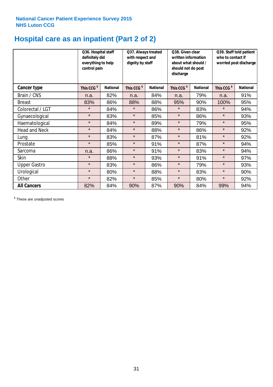# **Hospital care as an inpatient (Part 2 of 2)**

|                      | Q36. Hospital staff<br>definitely did<br>everything to help<br>control pain |                 | Q37. Always treated<br>with respect and<br>dignity by staff |                 | Q38. Given clear<br>written information<br>about what should /<br>should not do post<br>discharge |                 | Q39. Staff told patient<br>who to contact if<br>worried post discharge |                 |  |
|----------------------|-----------------------------------------------------------------------------|-----------------|-------------------------------------------------------------|-----------------|---------------------------------------------------------------------------------------------------|-----------------|------------------------------------------------------------------------|-----------------|--|
| Cancer type          | This CCG <sup>\$</sup>                                                      | <b>National</b> | This CCG <sup>\$</sup>                                      | <b>National</b> | This CCG <sup>\$</sup>                                                                            | <b>National</b> | This CCG <sup>\$</sup>                                                 | <b>National</b> |  |
| Brain / CNS          | n.a.                                                                        | 82%             | n.a.                                                        | 84%             | n.a.                                                                                              | 79%             | n.a.                                                                   | 91%             |  |
| <b>Breast</b>        | 83%                                                                         | 86%             | 88%                                                         | 88%             | 95%                                                                                               | 90%             | 100%                                                                   | 95%             |  |
| Colorectal / LGT     | $\star$                                                                     | 84%             | $\star$                                                     | 86%             | $\star$                                                                                           | 83%             | $\star$                                                                | 94%             |  |
| Gynaecological       | $\star$                                                                     | 83%             | $\star$                                                     | 85%             | $\star$                                                                                           | 86%             | $\star$                                                                | 93%             |  |
| Haematological       | $\star$                                                                     | 84%             | $\star$                                                     | 89%             | $\star$                                                                                           | 79%             | $\star$                                                                | 95%             |  |
| <b>Head and Neck</b> | $\star$                                                                     | 84%             | $\star$                                                     | 88%             | $\star$                                                                                           | 86%             | $\star$                                                                | 92%             |  |
| Lung                 | $\star$                                                                     | 83%             | $\star$                                                     | 87%             | $\star$                                                                                           | 81%             | $\star$                                                                | 92%             |  |
| Prostate             | $\star$                                                                     | 85%             | $\star$                                                     | 91%             | $\star$                                                                                           | 87%             | $\star$                                                                | 94%             |  |
| Sarcoma              | n.a.                                                                        | 86%             | $\star$                                                     | 91%             | $\star$                                                                                           | 83%             | $\star$                                                                | 94%             |  |
| Skin                 | $\star$                                                                     | 88%             | $\star$                                                     | 93%             | $\star$                                                                                           | 91%             | $\star$                                                                | 97%             |  |
| <b>Upper Gastro</b>  | $\star$                                                                     | 83%             | $\star$                                                     | 86%             | $\star$                                                                                           | 79%             | $\star$                                                                | 93%             |  |
| Urological           | $\star$                                                                     | 80%             | $\star$                                                     | 88%             | $\star$                                                                                           | 83%             | $\star$                                                                | 90%             |  |
| Other                | $\star$                                                                     | 82%             | $\star$                                                     | 85%             | $\star$                                                                                           | 80%             | $\star$                                                                | 92%             |  |
| <b>All Cancers</b>   | 82%                                                                         | 84%             | 90%                                                         | 87%             | 90%                                                                                               | 84%             | 99%                                                                    | 94%             |  |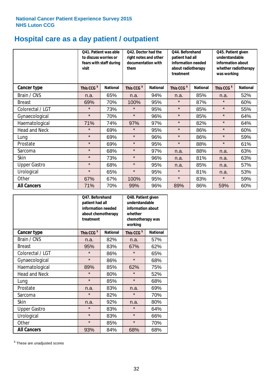# **Hospital care as a day patient / outpatient**

|                      | to discuss worries or<br>visit | Q41. Patient was able<br>fears with staff during | Q42. Doctor had the<br>right notes and other<br>documentation with<br>them |                 | Q44. Beforehand<br>patient had all<br>information needed<br>about radiotherapy<br>treatment |                 | Q45. Patient given<br>understandable<br>information about<br>whether radiotherapy<br>was working |                 |
|----------------------|--------------------------------|--------------------------------------------------|----------------------------------------------------------------------------|-----------------|---------------------------------------------------------------------------------------------|-----------------|--------------------------------------------------------------------------------------------------|-----------------|
| <b>Cancer type</b>   | This CCG <sup>\$</sup>         | <b>National</b>                                  | This CCG <sup>\$</sup>                                                     | <b>National</b> | This CCG <sup>\$</sup>                                                                      | <b>National</b> | This CCG <sup>\$</sup>                                                                           | <b>National</b> |
| Brain / CNS          | n.a.                           | 65%                                              | n.a.                                                                       | 94%             | n.a.                                                                                        | 85%             | n.a.                                                                                             | 52%             |
| <b>Breast</b>        | 69%                            | 70%                                              | 100%                                                                       | 95%             | $\star$                                                                                     | 87%             | $\star$                                                                                          | 60%             |
| Colorectal / LGT     | $\star$                        | 73%                                              | $\star$                                                                    | 95%             | $\star$                                                                                     | 85%             | $\star$                                                                                          | 55%             |
| Gynaecological       | $\star$                        | 70%                                              | $\star$                                                                    | 96%             | $\star$                                                                                     | 85%             | $\star$                                                                                          | 64%             |
| Haematological       | 71%                            | 74%                                              | 97%                                                                        | 97%             | $\star$                                                                                     | 82%             | $\star$                                                                                          | 64%             |
| <b>Head and Neck</b> | $\star$                        | 69%                                              | $\star$                                                                    | 95%             | $\star$                                                                                     | 86%             | $\star$                                                                                          | 60%             |
| Lung                 | $\star$                        | 69%                                              | $\star$                                                                    | 96%             | $\star$                                                                                     | 86%             | $\star$                                                                                          | 59%             |
| Prostate             | $\star$                        | 69%                                              | $\star$                                                                    | 95%             | $\star$                                                                                     | 88%             | $\star$                                                                                          | 61%             |
| Sarcoma              | $\star$                        | 68%                                              | $\star$                                                                    | 97%             | n.a.                                                                                        | 88%             | n.a.                                                                                             | 63%             |
| Skin                 | $\star$                        | 73%                                              | $\star$                                                                    | 96%             | n.a.                                                                                        | 81%             | n.a.                                                                                             | 63%             |
| <b>Upper Gastro</b>  | $\star$                        | 68%                                              | $\star$                                                                    | 95%             | n.a.                                                                                        | 85%             | n.a.                                                                                             | 57%             |
| Urological           | $\star$                        | 65%                                              | $\star$                                                                    | 95%             | $\star$                                                                                     | 81%             | n.a.                                                                                             | 53%             |
| Other                | 67%                            | 67%                                              | 100%                                                                       | 95%             | $\star$                                                                                     | 83%             | $\star$                                                                                          | 59%             |
| <b>All Cancers</b>   | 71%                            | 70%                                              | 99%                                                                        | 96%             | 89%                                                                                         | 86%             | 59%                                                                                              | 60%             |

|                      | O47. Beforehand<br>patient had all<br>information needed<br>about chemotherapy<br>treatment |                 | Q48. Patient given<br>understandable<br>information about<br>whether<br>chemotherapy was<br>working |                 |  |
|----------------------|---------------------------------------------------------------------------------------------|-----------------|-----------------------------------------------------------------------------------------------------|-----------------|--|
| <b>Cancer type</b>   | This CCG <sup>\$</sup>                                                                      | <b>National</b> | This CCG <sup>\$</sup>                                                                              | <b>National</b> |  |
| Brain / CNS          | n.a.                                                                                        | 82%             | n.a.                                                                                                | 57%             |  |
| <b>Breast</b>        | 95%                                                                                         | 83%             | 67%                                                                                                 | 62%             |  |
| Colorectal / LGT     | $\star$                                                                                     | 86%             | $\star$                                                                                             | 65%             |  |
| Gynaecological       | $\star$                                                                                     | 86%             | $\star$                                                                                             | 68%             |  |
| Haematological       | 89%<br>85%                                                                                  |                 | 62%                                                                                                 | 75%             |  |
| <b>Head and Neck</b> | $\star$                                                                                     | 80%             | $\star$                                                                                             | 52%             |  |
| Lung                 | $\star$                                                                                     | 85%             | $\star$                                                                                             | 68%             |  |
| Prostate             | n.a.                                                                                        | 83%             | n.a.                                                                                                | 69%             |  |
| Sarcoma              | $\star$                                                                                     | 82%             | $\star$                                                                                             | 70%             |  |
| Skin                 | n.a.                                                                                        | 92%             | n.a.                                                                                                | 80%             |  |
| <b>Upper Gastro</b>  | $\star$                                                                                     | 83%             | $\star$                                                                                             | 64%             |  |
| Urological           | $\star$                                                                                     | 83%             | $\star$                                                                                             | 66%             |  |
| Other                | $\star$                                                                                     | 85%             | $\star$                                                                                             | 70%             |  |
| <b>All Cancers</b>   | 93%                                                                                         | 84%             | 68%                                                                                                 | 68%             |  |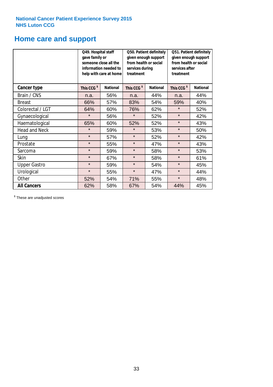# **Home care and support**

|                      | Q49. Hospital staff<br>gave family or | someone close all the<br>information needed to<br>help with care at home | Q50. Patient definitely<br>given enough support<br>from health or social<br>services during<br>treatment |                 | Q51. Patient definitely<br>given enough support<br>from health or social<br>services after<br>treatment |                 |  |
|----------------------|---------------------------------------|--------------------------------------------------------------------------|----------------------------------------------------------------------------------------------------------|-----------------|---------------------------------------------------------------------------------------------------------|-----------------|--|
| <b>Cancer type</b>   | This CCG <sup>\$</sup>                | <b>National</b>                                                          | This CCG <sup>\$</sup>                                                                                   | <b>National</b> | This CCG <sup>\$</sup>                                                                                  | <b>National</b> |  |
| Brain / CNS          | n.a.                                  | 56%                                                                      | n.a.                                                                                                     | 44%             | n.a.                                                                                                    | 44%             |  |
| <b>Breast</b>        | 66%                                   | 57%                                                                      | 83%                                                                                                      | 54%             | 59%                                                                                                     | 40%             |  |
| Colorectal / LGT     | 64%                                   | 60%                                                                      | 76%                                                                                                      | 62%             | $\star$                                                                                                 | 52%             |  |
| Gynaecological       | $\star$                               | 56%                                                                      | $\star$<br>52%                                                                                           |                 | $\star$                                                                                                 | 42%             |  |
| Haematological       | 65%                                   | 60%                                                                      | 52%                                                                                                      | 52%             | $\star$                                                                                                 | 43%             |  |
| <b>Head and Neck</b> | $\star$                               | 59%                                                                      | $\star$                                                                                                  | 53%             | $\star$                                                                                                 | 50%             |  |
| Lung                 | $\star$                               | 57%                                                                      | $\star$                                                                                                  | 52%             | $\star$                                                                                                 | 42%             |  |
| Prostate             | $\star$                               | 55%                                                                      | $\star$                                                                                                  | 47%             | $\star$                                                                                                 | 43%             |  |
| Sarcoma              | $\star$                               | 59%                                                                      | $\star$                                                                                                  | 58%             | $\star$                                                                                                 | 53%             |  |
| Skin                 | $\star$                               | 67%                                                                      | $\star$                                                                                                  | 58%             | $\star$                                                                                                 | 61%             |  |
| <b>Upper Gastro</b>  | $\star$                               | 59%                                                                      | $\star$                                                                                                  | 54%             | $\star$                                                                                                 | 45%             |  |
| Urological           | $\star$                               | 55%                                                                      | $\star$                                                                                                  | 47%             | $\star$                                                                                                 | 44%             |  |
| Other                | 52%                                   | 54%                                                                      | 71%<br>55%                                                                                               |                 | $\star$                                                                                                 | 48%             |  |
| <b>All Cancers</b>   | 62%                                   | 58%                                                                      | 67%                                                                                                      | 54%             | 44%                                                                                                     | 45%             |  |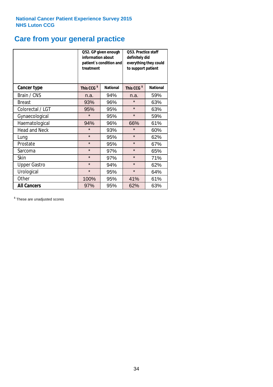# **Care from your general practice**

|                      | information about<br>treatment | Q52. GP given enough<br>patient's condition and | O53. Practice staff<br>definitely did<br>everything they could<br>to support patient |                 |  |
|----------------------|--------------------------------|-------------------------------------------------|--------------------------------------------------------------------------------------|-----------------|--|
| <b>Cancer type</b>   | This CCG <sup>\$</sup>         | <b>National</b>                                 | This CCG <sup>\$</sup>                                                               | <b>National</b> |  |
| Brain / CNS          | n.a.                           | 94%                                             | n.a.                                                                                 | 59%             |  |
| <b>Breast</b>        | 93%                            | 96%                                             | $\star$                                                                              | 63%             |  |
| Colorectal / LGT     | 95%                            | 95%                                             | $\star$                                                                              | 63%             |  |
| Gynaecological       | $\star$<br>95%                 |                                                 | $\star$                                                                              | 59%             |  |
| Haematological       | 94%                            | 96%                                             | 66%                                                                                  | 61%             |  |
| <b>Head and Neck</b> | $\star$                        | 93%                                             | $\star$                                                                              | 60%             |  |
| Lung                 | $\star$                        | 95%                                             | $\star$                                                                              | 62%             |  |
| Prostate             | $\star$                        | 95%                                             | $\star$                                                                              | 67%             |  |
| Sarcoma              | $\star$                        | 97%                                             | $\star$                                                                              | 65%             |  |
| Skin                 | $\star$                        | 97%                                             | $\star$                                                                              | 71%             |  |
| <b>Upper Gastro</b>  | $\star$                        | 94%                                             | $\star$                                                                              | 62%             |  |
| Urological           | $\star$                        | 95%                                             | $\star$                                                                              | 64%             |  |
| Other                | 100%                           | 95%                                             | 41%                                                                                  | 61%             |  |
| <b>All Cancers</b>   | 97%                            | 95%                                             | 62%                                                                                  | 63%             |  |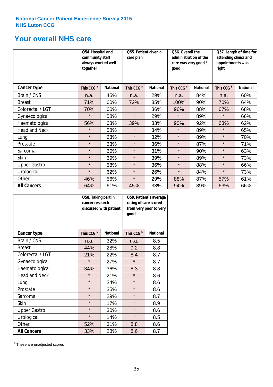# **Your overall NHS care**

|                      | together               | Q54. Hospital and<br>community staff<br>always worked well |                        | Q55. Patient given a<br>care plan |                        | Q56. Overall the<br>administration of the<br>care was very good /<br>qood |                        | Q57. Length of time for<br>attending clinics and<br>appointments was<br>right |  |
|----------------------|------------------------|------------------------------------------------------------|------------------------|-----------------------------------|------------------------|---------------------------------------------------------------------------|------------------------|-------------------------------------------------------------------------------|--|
| Cancer type          | This CCG <sup>\$</sup> | <b>National</b>                                            | This CCG <sup>\$</sup> | <b>National</b>                   | This CCG <sup>\$</sup> | <b>National</b>                                                           | This CCG <sup>\$</sup> | <b>National</b>                                                               |  |
| Brain / CNS          | n.a.                   | 45%                                                        | n.a.                   | 29%                               | n.a.                   | 84%                                                                       | n.a.                   | 60%                                                                           |  |
| <b>Breast</b>        | 71%                    | 60%                                                        | 72%                    | 35%                               | 100%                   | 90%                                                                       | 70%                    | 64%                                                                           |  |
| Colorectal / LGT     | 70%                    | 60%                                                        | $\star$                | 36%                               | 96%                    | 88%                                                                       | 67%                    | 68%                                                                           |  |
| Gynaecological       | $\star$                | 58%                                                        | $\star$                | 29%                               | $\star$                | 89%                                                                       | $\star$                | 66%                                                                           |  |
| Haematological       | 56%                    | 63%                                                        | 39%                    | 33%                               | 90%                    | 92%                                                                       | 63%                    | 62%                                                                           |  |
| <b>Head and Neck</b> | $\star$                | 58%                                                        | $\star$                | 34%                               | $\star$                | 89%                                                                       | $\star$                | 65%                                                                           |  |
| Lung                 | $\star$                | 63%                                                        | $\star$                | 32%                               | $\star$                | 89%                                                                       | $\star$                | 70%                                                                           |  |
| Prostate             | $\star$                | 63%                                                        | $\star$                | 36%                               | $\star$                | 87%                                                                       | $\star$                | 71%                                                                           |  |
| Sarcoma              | $\star$                | 60%                                                        | $\star$                | 31%                               | $\star$                | 90%                                                                       | $\star$                | 63%                                                                           |  |
| Skin                 | $\star$                | 69%                                                        | $\star$                | 39%                               | $\star$                | 89%                                                                       | $\star$                | 73%                                                                           |  |
| <b>Upper Gastro</b>  | $\star$                | 58%                                                        | $\star$                | 36%                               | $\star$                | 88%                                                                       | $\star$                | 66%                                                                           |  |
| Urological           | $\star$                | 62%                                                        | $\star$                | 26%                               | $\star$                | 84%                                                                       | $\star$                | 73%                                                                           |  |
| Other                | 46%                    | 56%                                                        | $\star$                | 29%                               | 88%                    | 87%                                                                       | 57%                    | 61%                                                                           |  |
| <b>All Cancers</b>   | 64%                    | 61%                                                        | 45%                    | 33%                               | 94%                    | 89%                                                                       | 63%                    | 66%                                                                           |  |

|                      | Q58. Taking part in<br>cancer research | discussed with patient | Q59. Patient's average<br>rating of care scored<br>from very poor to very<br>good |                 |  |
|----------------------|----------------------------------------|------------------------|-----------------------------------------------------------------------------------|-----------------|--|
| <b>Cancer type</b>   | This CCG <sup>\$</sup>                 | <b>National</b>        | This CCG <sup>\$</sup>                                                            | <b>National</b> |  |
| Brain / CNS          | n.a.                                   | 32%                    | n.a.                                                                              | 8.5             |  |
| <b>Breast</b>        | 44%                                    | 28%                    | 9.2                                                                               | 8.8             |  |
| Colorectal / LGT     | 21%                                    | 22%                    | 8.4                                                                               | 8.7             |  |
| Gynaecological       | $\star$<br>27%                         |                        | $\star$                                                                           | 8.7             |  |
| Haematological       | 34%                                    | 36%                    | 8.3                                                                               | 8.8             |  |
| <b>Head and Neck</b> | $\star$                                | 21%                    | $\star$                                                                           | 8.6             |  |
| Lung                 | $\star$                                | 34%                    | $\star$                                                                           | 8.6             |  |
| Prostate             | $\star$                                | 35%                    | $\star$                                                                           | 8.6             |  |
| Sarcoma              | $\star$                                | 29%                    | $\star$                                                                           | 8.7             |  |
| <b>Skin</b>          | $\star$                                | 17%                    | $\star$                                                                           | 8.9             |  |
| <b>Upper Gastro</b>  | $\star$                                | 30%                    | $\star$                                                                           | 8.6             |  |
| Urological           | $\star$                                | 14%                    | $\star$                                                                           | 8.5             |  |
| Other                | 52%                                    | 31%                    | 8.8                                                                               | 8.6             |  |
| <b>All Cancers</b>   | 33%                                    | 28%                    | 8.6                                                                               | 8.7             |  |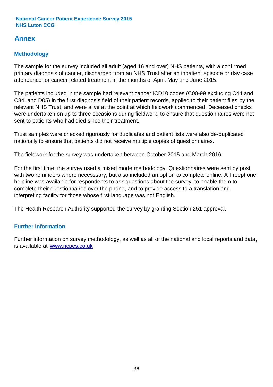# **Annex**

# **Methodology**

The sample for the survey included all adult (aged 16 and over) NHS patients, with a confirmed primary diagnosis of cancer, discharged from an NHS Trust after an inpatient episode or day case attendance for cancer related treatment in the months of April, May and June 2015.

The patients included in the sample had relevant cancer ICD10 codes (C00-99 excluding C44 and C84, and D05) in the first diagnosis field of their patient records, applied to their patient files by the relevant NHS Trust, and were alive at the point at which fieldwork commenced. Deceased checks were undertaken on up to three occasions during fieldwork, to ensure that questionnaires were not sent to patients who had died since their treatment.

Trust samples were checked rigorously for duplicates and patient lists were also de-duplicated nationally to ensure that patients did not receive multiple copies of questionnaires.

The fieldwork for the survey was undertaken between October 2015 and March 2016.

For the first time, the survey used a mixed mode methodology. Questionnaires were sent by post with two reminders where necesssary, but also included an option to complete online. A Freephone helpline was available for respondents to ask questions about the survey, to enable them to complete their questionnaires over the phone, and to provide access to a translation and interpreting facility for those whose first language was not English.

The Health Research Authority supported the survey by granting Section 251 approval.

# **Further information**

Further information on survey methodology, as well as all of the national and local reports and data, is available at www.ncpes.co.uk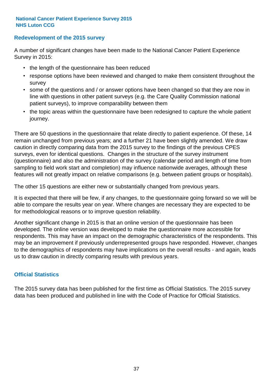## **Redevelopment of the 2015 survey**

A number of significant changes have been made to the National Cancer Patient Experience Survey in 2015:

- the length of the questionnaire has been reduced
- response options have been reviewed and changed to make them consistent throughout the survey
- some of the questions and / or answer options have been changed so that they are now in line with questions in other patient surveys (e.g. the Care Quality Commission national patient surveys), to improve comparability between them
- the topic areas within the questionnaire have been redesigned to capture the whole patient journey.

There are 50 questions in the questionnaire that relate directly to patient experience. Of these, 14 remain unchanged from previous years; and a further 21 have been slightly amended. We draw caution in directly comparing data from the 2015 survey to the findings of the previous CPES surveys, even for identical questions. Changes in the structure of the survey instrument (questionnaire) and also the administration of the survey (calendar period and length of time from sampling to field work start and completion) may influence nationwide averages, although these features will not greatly impact on relative comparisons (e.g. between patient groups or hospitals).

The other 15 questions are either new or substantially changed from previous years.

It is expected that there will be few, if any changes, to the questionnaire going forward so we will be able to compare the results year on year. Where changes are necessary they are expected to be for methodological reasons or to improve question reliability.

Another significant change in 2015 is that an online version of the questionnaire has been developed. The online version was developed to make the questionnaire more accessible for respondents. This may have an impact on the demographic characteristics of the respondents. This may be an improvement if previously underrepresented groups have responded. However, changes to the demographics of respondents may have implications on the overall results - and again, leads us to draw caution in directly comparing results with previous years.

# **Official Statistics**

The 2015 survey data has been published for the first time as Official Statistics. The 2015 survey data has been produced and published in line with the Code of Practice for Official Statistics.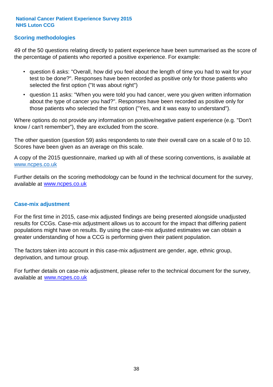# **Scoring methodologies**

49 of the 50 questions relating directly to patient experience have been summarised as the score of the percentage of patients who reported a positive experience. For example:

- question 6 asks: "Overall, how did you feel about the length of time you had to wait for your test to be done?". Responses have been recorded as positive only for those patients who selected the first option ("It was about right")
- question 11 asks: "When you were told you had cancer, were you given written information about the type of cancer you had?". Responses have been recorded as positive only for those patients who selected the first option ("Yes, and it was easy to understand").

Where options do not provide any information on positive/negative patient experience (e.g. "Don't know / can't remember"), they are excluded from the score.

The other question (question 59) asks respondents to rate their overall care on a scale of 0 to 10. Scores have been given as an average on this scale.

A copy of the 2015 questionnaire, marked up with all of these scoring conventions, is available at www.ncpes.co.uk

Further details on the scoring methodology can be found in the technical document for the survey, available at <u>www.ncpes.co.uk</u>

#### **Case-mix adjustment**

For the first time in 2015, case-mix adjusted findings are being presented alongside unadjusted results for CCGs. Case-mix adjustment allows us to account for the impact that differing patient populations might have on results. By using the case-mix adjusted estimates we can obtain a greater understanding of how a CCG is performing given their patient population.

The factors taken into account in this case-mix adjustment are gender, age, ethnic group, deprivation, and tumour group.

For further details on case-mix adjustment, please refer to the technical document for the survey, available at www.ncpes.co.uk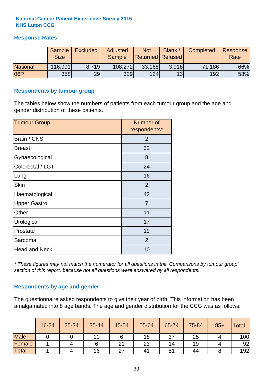# **Response Rates**

|                 | Sample      | <b>Excluded</b> | Adjusted      | <b>Not</b>              | Blank / | Completed | Response |
|-----------------|-------------|-----------------|---------------|-------------------------|---------|-----------|----------|
|                 | <b>Size</b> |                 | <b>Sample</b> | <b>Returned Refused</b> |         |           | Rate     |
| <b>National</b> | 116,991     | 8.719           | 108,272       | 33,168                  | 3.918   | 71,186    | 66%      |
| <b>06P</b>      | 358         | 29              | 329           | 124                     | 13      | 192       | 58%      |

### **Respondents by tumour group**

The tables below show the numbers of patients from each tumour group and the age and gender distribution of these patients.

| <b>Tumour Group</b>  | Number of<br>respondents* |  |  |  |
|----------------------|---------------------------|--|--|--|
| Brain / CNS          | 2                         |  |  |  |
| <b>Breast</b>        | 32                        |  |  |  |
| Gynaecological       | 8                         |  |  |  |
| Colorectal / LGT     | 24                        |  |  |  |
| Lung                 | 16                        |  |  |  |
| <b>Skin</b>          | 2                         |  |  |  |
| Haematological       | 42                        |  |  |  |
| <b>Upper Gastro</b>  | $\overline{7}$            |  |  |  |
| Other                | 11                        |  |  |  |
| Urological           | 17                        |  |  |  |
| Prostate             | 19                        |  |  |  |
| Sarcoma              | $\overline{2}$            |  |  |  |
| <b>Head and Neck</b> | 10                        |  |  |  |

*\* These figures may not match the numerator for all questions in the 'Comparisons by tumour group' section of this report, because not all questions were answered by all respondents.*

# **Respondents by age and gender**

The questionnaire asked respondents to give their year of birth. This information has been amalgamated into 8 age bands. The age and gender distribution for the CCG was as follows:

|             | 16-24 | $25 - 34$ | 35-44 | 45-54 | 55-64          | 65-74          | 75-84 | $85+$ | <b>Total</b> |
|-------------|-------|-----------|-------|-------|----------------|----------------|-------|-------|--------------|
| <b>Male</b> |       |           | 10    |       | 18             | 37             | 25    |       | 100          |
| Female      |       | 4         |       | 21    | 23             | 14             | 19    |       | 92           |
| Total       |       | 4         | 16    | 27    | 4 <sup>1</sup> | 5 <sup>1</sup> | 44    |       | 192          |